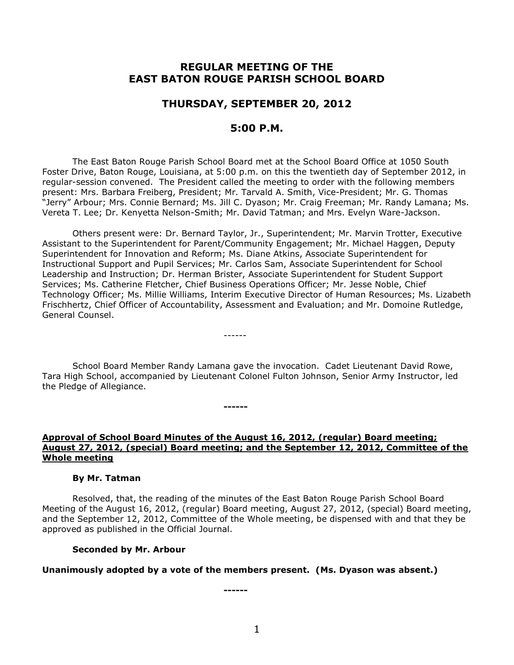# **REGULAR MEETING OF THE EAST BATON ROUGE PARISH SCHOOL BOARD**

## **THURSDAY, SEPTEMBER 20, 2012**

# **5:00 P.M.**

The East Baton Rouge Parish School Board met at the School Board Office at 1050 South Foster Drive, Baton Rouge, Louisiana, at 5:00 p.m. on this the twentieth day of September 2012, in regular-session convened. The President called the meeting to order with the following members present: Mrs. Barbara Freiberg, President; Mr. Tarvald A. Smith, Vice-President; Mr. G. Thomas "Jerry" Arbour; Mrs. Connie Bernard; Ms. Jill C. Dyason; Mr. Craig Freeman; Mr. Randy Lamana; Ms. Vereta T. Lee; Dr. Kenyetta Nelson-Smith; Mr. David Tatman; and Mrs. Evelyn Ware-Jackson.

Others present were: Dr. Bernard Taylor, Jr., Superintendent; Mr. Marvin Trotter, Executive Assistant to the Superintendent for Parent/Community Engagement; Mr. Michael Haggen, Deputy Superintendent for Innovation and Reform; Ms. Diane Atkins, Associate Superintendent for Instructional Support and Pupil Services; Mr. Carlos Sam, Associate Superintendent for School Leadership and Instruction; Dr. Herman Brister, Associate Superintendent for Student Support Services; Ms. Catherine Fletcher, Chief Business Operations Officer; Mr. Jesse Noble, Chief Technology Officer; Ms. Millie Williams, Interim Executive Director of Human Resources; Ms. Lizabeth Frischhertz, Chief Officer of Accountability, Assessment and Evaluation; and Mr. Domoine Rutledge, General Counsel.

School Board Member Randy Lamana gave the invocation. Cadet Lieutenant David Rowe, Tara High School, accompanied by Lieutenant Colonel Fulton Johnson, Senior Army Instructor, led the Pledge of Allegiance.

------

**------**

### **Approval of School Board Minutes of the August 16, 2012, (regular) Board meeting; August 27, 2012, (special) Board meeting; and the September 12, 2012, Committee of the Whole meeting**

#### **By Mr. Tatman**

Resolved, that, the reading of the minutes of the East Baton Rouge Parish School Board Meeting of the August 16, 2012, (regular) Board meeting, August 27, 2012, (special) Board meeting, and the September 12, 2012, Committee of the Whole meeting, be dispensed with and that they be approved as published in the Official Journal.

#### **Seconded by Mr. Arbour**

**Unanimously adopted by a vote of the members present. (Ms. Dyason was absent.)**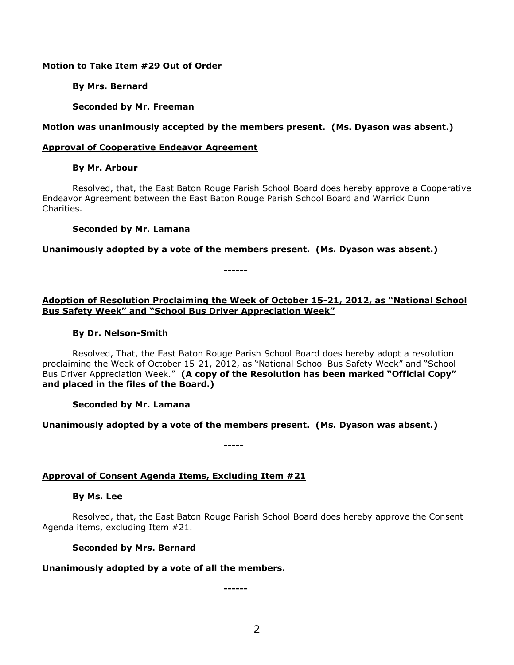### **Motion to Take Item #29 Out of Order**

**By Mrs. Bernard**

**Seconded by Mr. Freeman**

## **Motion was unanimously accepted by the members present. (Ms. Dyason was absent.)**

## **Approval of Cooperative Endeavor Agreement**

## **By Mr. Arbour**

Resolved, that, the East Baton Rouge Parish School Board does hereby approve a Cooperative Endeavor Agreement between the East Baton Rouge Parish School Board and Warrick Dunn Charities.

## **Seconded by Mr. Lamana**

**Unanimously adopted by a vote of the members present. (Ms. Dyason was absent.)**

**------**

## **Adoption of Resolution Proclaiming the Week of October 15-21, 2012, as "National School Bus Safety Week" and "School Bus Driver Appreciation Week"**

### **By Dr. Nelson-Smith**

Resolved, That, the East Baton Rouge Parish School Board does hereby adopt a resolution proclaiming the Week of October 15-21, 2012, as "National School Bus Safety Week" and "School Bus Driver Appreciation Week." **(A copy of the Resolution has been marked "Official Copy" and placed in the files of the Board.)**

**Seconded by Mr. Lamana**

**Unanimously adopted by a vote of the members present. (Ms. Dyason was absent.)**

**-----**

# **Approval of Consent Agenda Items, Excluding Item #21**

### **By Ms. Lee**

Resolved, that, the East Baton Rouge Parish School Board does hereby approve the Consent Agenda items, excluding Item #21.

# **Seconded by Mrs. Bernard**

# **Unanimously adopted by a vote of all the members.**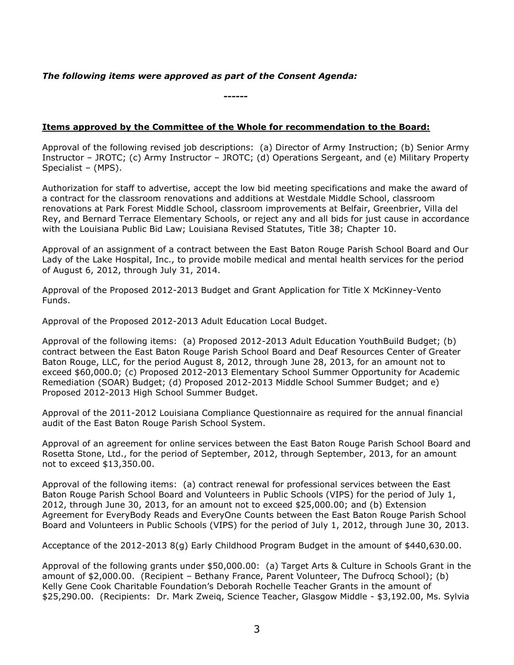## *The following items were approved as part of the Consent Agenda:*

**------**

## **Items approved by the Committee of the Whole for recommendation to the Board:**

Approval of the following revised job descriptions: (a) Director of Army Instruction; (b) Senior Army Instructor – JROTC; (c) Army Instructor – JROTC; (d) Operations Sergeant, and (e) Military Property Specialist – (MPS).

Authorization for staff to advertise, accept the low bid meeting specifications and make the award of a contract for the classroom renovations and additions at Westdale Middle School, classroom renovations at Park Forest Middle School, classroom improvements at Belfair, Greenbrier, Villa del Rey, and Bernard Terrace Elementary Schools, or reject any and all bids for just cause in accordance with the Louisiana Public Bid Law; Louisiana Revised Statutes, Title 38; Chapter 10.

Approval of an assignment of a contract between the East Baton Rouge Parish School Board and Our Lady of the Lake Hospital, Inc., to provide mobile medical and mental health services for the period of August 6, 2012, through July 31, 2014.

Approval of the Proposed 2012-2013 Budget and Grant Application for Title X McKinney-Vento Funds.

Approval of the Proposed 2012-2013 Adult Education Local Budget.

Approval of the following items: (a) Proposed 2012-2013 Adult Education YouthBuild Budget; (b) contract between the East Baton Rouge Parish School Board and Deaf Resources Center of Greater Baton Rouge, LLC, for the period August 8, 2012, through June 28, 2013, for an amount not to exceed \$60,000.0; (c) Proposed 2012-2013 Elementary School Summer Opportunity for Academic Remediation (SOAR) Budget; (d) Proposed 2012-2013 Middle School Summer Budget; and e) Proposed 2012-2013 High School Summer Budget.

Approval of the 2011-2012 Louisiana Compliance Questionnaire as required for the annual financial audit of the East Baton Rouge Parish School System.

Approval of an agreement for online services between the East Baton Rouge Parish School Board and Rosetta Stone, Ltd., for the period of September, 2012, through September, 2013, for an amount not to exceed \$13,350.00.

Approval of the following items: (a) contract renewal for professional services between the East Baton Rouge Parish School Board and Volunteers in Public Schools (VIPS) for the period of July 1, 2012, through June 30, 2013, for an amount not to exceed \$25,000.00; and (b) Extension Agreement for EveryBody Reads and EveryOne Counts between the East Baton Rouge Parish School Board and Volunteers in Public Schools (VIPS) for the period of July 1, 2012, through June 30, 2013.

Acceptance of the 2012-2013 8(g) Early Childhood Program Budget in the amount of \$440,630.00.

Approval of the following grants under \$50,000.00: (a) Target Arts & Culture in Schools Grant in the amount of \$2,000.00. (Recipient – Bethany France, Parent Volunteer, The Dufrocq School); (b) Kelly Gene Cook Charitable Foundation's Deborah Rochelle Teacher Grants in the amount of \$25,290.00. (Recipients: Dr. Mark Zweiq, Science Teacher, Glasgow Middle - \$3,192.00, Ms. Sylvia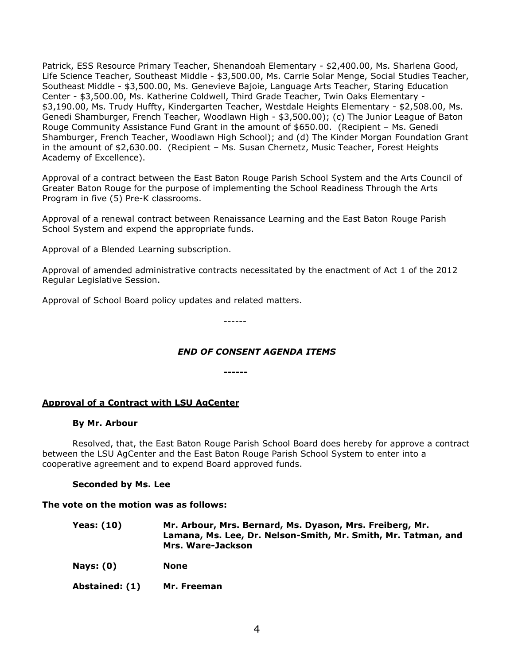Patrick, ESS Resource Primary Teacher, Shenandoah Elementary - \$2,400.00, Ms. Sharlena Good, Life Science Teacher, Southeast Middle - \$3,500.00, Ms. Carrie Solar Menge, Social Studies Teacher, Southeast Middle - \$3,500.00, Ms. Genevieve Bajoie, Language Arts Teacher, Staring Education Center - \$3,500.00, Ms. Katherine Coldwell, Third Grade Teacher, Twin Oaks Elementary - \$3,190.00, Ms. Trudy Huffty, Kindergarten Teacher, Westdale Heights Elementary - \$2,508.00, Ms. Genedi Shamburger, French Teacher, Woodlawn High - \$3,500.00); (c) The Junior League of Baton Rouge Community Assistance Fund Grant in the amount of \$650.00. (Recipient – Ms. Genedi Shamburger, French Teacher, Woodlawn High School); and (d) The Kinder Morgan Foundation Grant in the amount of \$2,630.00. (Recipient – Ms. Susan Chernetz, Music Teacher, Forest Heights Academy of Excellence).

Approval of a contract between the East Baton Rouge Parish School System and the Arts Council of Greater Baton Rouge for the purpose of implementing the School Readiness Through the Arts Program in five (5) Pre-K classrooms.

Approval of a renewal contract between Renaissance Learning and the East Baton Rouge Parish School System and expend the appropriate funds.

Approval of a Blended Learning subscription.

Approval of amended administrative contracts necessitated by the enactment of Act 1 of the 2012 Regular Legislative Session.

Approval of School Board policy updates and related matters.

------

# *END OF CONSENT AGENDA ITEMS*

**------**

### **Approval of a Contract with LSU AgCenter**

#### **By Mr. Arbour**

Resolved, that, the East Baton Rouge Parish School Board does hereby for approve a contract between the LSU AgCenter and the East Baton Rouge Parish School System to enter into a cooperative agreement and to expend Board approved funds.

### **Seconded by Ms. Lee**

#### **The vote on the motion was as follows:**

| Yeas: (10) | Mr. Arbour, Mrs. Bernard, Ms. Dyason, Mrs. Freiberg, Mr.      |
|------------|---------------------------------------------------------------|
|            | Lamana, Ms. Lee, Dr. Nelson-Smith, Mr. Smith, Mr. Tatman, and |
|            | Mrs. Ware-Jackson                                             |

**Nays: (0) None**

**Abstained: (1) Mr. Freeman**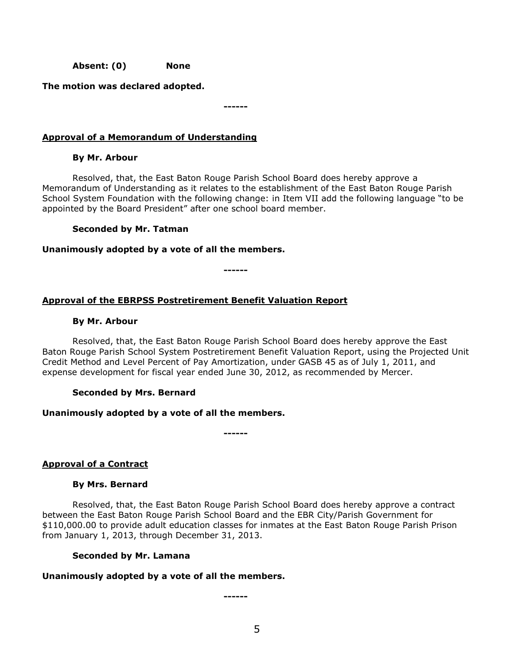**Absent: (0) None**

**The motion was declared adopted.**

**------**

# **Approval of a Memorandum of Understanding**

## **By Mr. Arbour**

Resolved, that, the East Baton Rouge Parish School Board does hereby approve a Memorandum of Understanding as it relates to the establishment of the East Baton Rouge Parish School System Foundation with the following change: in Item VII add the following language "to be appointed by the Board President" after one school board member.

## **Seconded by Mr. Tatman**

## **Unanimously adopted by a vote of all the members.**

**------**

**------**

# **Approval of the EBRPSS Postretirement Benefit Valuation Report**

## **By Mr. Arbour**

Resolved, that, the East Baton Rouge Parish School Board does hereby approve the East Baton Rouge Parish School System Postretirement Benefit Valuation Report, using the Projected Unit Credit Method and Level Percent of Pay Amortization, under GASB 45 as of July 1, 2011, and expense development for fiscal year ended June 30, 2012, as recommended by Mercer.

# **Seconded by Mrs. Bernard**

# **Unanimously adopted by a vote of all the members.**

**Approval of a Contract**

### **By Mrs. Bernard**

Resolved, that, the East Baton Rouge Parish School Board does hereby approve a contract between the East Baton Rouge Parish School Board and the EBR City/Parish Government for \$110,000.00 to provide adult education classes for inmates at the East Baton Rouge Parish Prison from January 1, 2013, through December 31, 2013.

### **Seconded by Mr. Lamana**

# **Unanimously adopted by a vote of all the members.**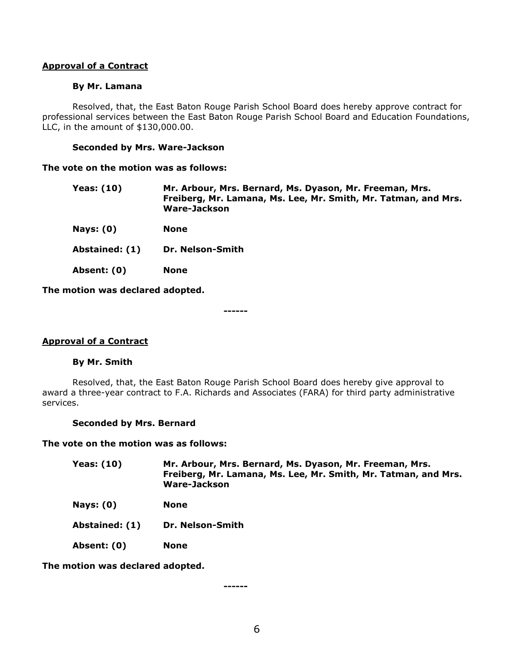### **Approval of a Contract**

#### **By Mr. Lamana**

Resolved, that, the East Baton Rouge Parish School Board does hereby approve contract for professional services between the East Baton Rouge Parish School Board and Education Foundations, LLC, in the amount of \$130,000.00.

#### **Seconded by Mrs. Ware-Jackson**

#### **The vote on the motion was as follows:**

| Yeas: (10) | Mr. Arbour, Mrs. Bernard, Ms. Dyason, Mr. Freeman, Mrs.        |
|------------|----------------------------------------------------------------|
|            | Freiberg, Mr. Lamana, Ms. Lee, Mr. Smith, Mr. Tatman, and Mrs. |
|            | Ware-Jackson                                                   |

- **Nays: (0) None**
- **Abstained: (1) Dr. Nelson-Smith**
- **Absent: (0) None**

**The motion was declared adopted.**

**------**

### **Approval of a Contract**

#### **By Mr. Smith**

Resolved, that, the East Baton Rouge Parish School Board does hereby give approval to award a three-year contract to F.A. Richards and Associates (FARA) for third party administrative services.

#### **Seconded by Mrs. Bernard**

#### **The vote on the motion was as follows:**

| <b>Yeas: (10)</b> | Mr. Arbour, Mrs. Bernard, Ms. Dyason, Mr. Freeman, Mrs.<br>Freiberg, Mr. Lamana, Ms. Lee, Mr. Smith, Mr. Tatman, and Mrs.<br>Ware-Jackson |
|-------------------|-------------------------------------------------------------------------------------------------------------------------------------------|
| Nays: $(0)$       | <b>None</b>                                                                                                                               |
| Abstained: (1)    | Dr. Nelson-Smith                                                                                                                          |
| Absent: (0)       | <b>None</b>                                                                                                                               |

**The motion was declared adopted.**